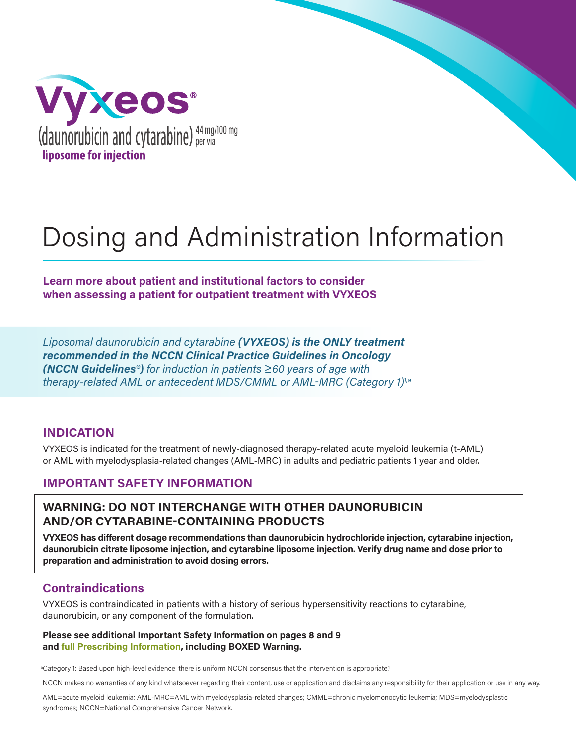

# Dosing and Administration Information

**Learn more about patient and institutional factors to consider when assessing a patient for outpatient treatment with VYXEOS**

*Liposomal daunorubicin and cytarabine (VYXEOS) is the ONLY treatment recommended in the NCCN Clinical Practice Guidelines in Oncology (NCCN Guidelines®) for induction in patients ≥60 years of age with therapy-related AML or antecedent MDS/CMML or AML-MRC (Category 1)1,a*

#### **INDICATION**

VYXEOS is indicated for the treatment of newly-diagnosed therapy-related acute myeloid leukemia (t-AML) or AML with myelodysplasia-related changes (AML-MRC) in adults and pediatric patients 1 year and older.

### **IMPORTANT SAFETY INFORMATION**

## **WARNING: DO NOT INTERCHANGE WITH OTHER DAUNORUBICIN AND/OR CYTARABINE-CONTAINING PRODUCTS**

**VYXEOS has different dosage recommendations than daunorubicin hydrochloride injection, cytarabine injection, daunorubicin citrate liposome injection, and cytarabine liposome injection. Verify drug name and dose prior to preparation and administration to avoid dosing errors.**

## **Contraindications**

VYXEOS is contraindicated in patients with a history of serious hypersensitivity reactions to cytarabine, daunorubicin, or any component of the formulation.

#### **Please see additional Important Safety Information on pages 8 and 9 and full Prescribing Information, including BOXED Warning.**

<sup>a</sup>Category 1: Based upon high-level evidence, there is uniform NCCN consensus that the intervention is appropriate.<sup>1</sup>

NCCN makes no warranties of any kind whatsoever regarding their content, use or application and disclaims any responsibility for their application or use in any way.

AML=acute myeloid leukemia; AML-MRC=AML with myelodysplasia-related changes; CMML=chronic myelomonocytic leukemia; MDS=myelodysplastic syndromes; NCCN=National Comprehensive Cancer Network.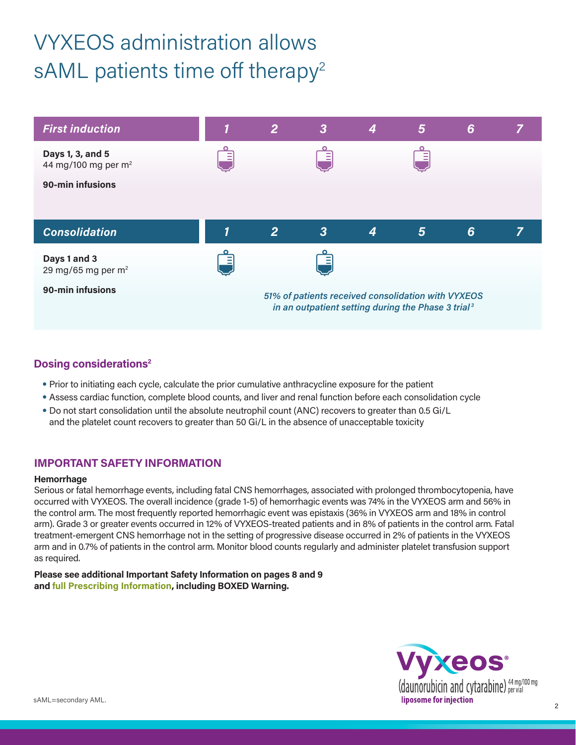# VYXEOS administration allows sAML patients time off therapy<sup>2</sup>



### **Dosing considerations2**

- Prior to initiating each cycle, calculate the prior cumulative anthracycline exposure for the patient
- Assess cardiac function, complete blood counts, and liver and renal function before each consolidation cycle
- Do not start consolidation until the absolute neutrophil count (ANC) recovers to greater than 0.5 Gi/L and the platelet count recovers to greater than 50 Gi/L in the absence of unacceptable toxicity

#### **IMPORTANT SAFETY INFORMATION**

#### **Hemorrhage**

Serious or fatal hemorrhage events, including fatal CNS hemorrhages, associated with prolonged thrombocytopenia, have occurred with VYXEOS. The overall incidence (grade 1-5) of hemorrhagic events was 74% in the VYXEOS arm and 56% in the control arm. The most frequently reported hemorrhagic event was epistaxis (36% in VYXEOS arm and 18% in control arm). Grade 3 or greater events occurred in 12% of VYXEOS-treated patients and in 8% of patients in the control arm. Fatal treatment-emergent CNS hemorrhage not in the setting of progressive disease occurred in 2% of patients in the VYXEOS arm and in 0.7% of patients in the control arm. Monitor blood counts regularly and administer platelet transfusion support as required.

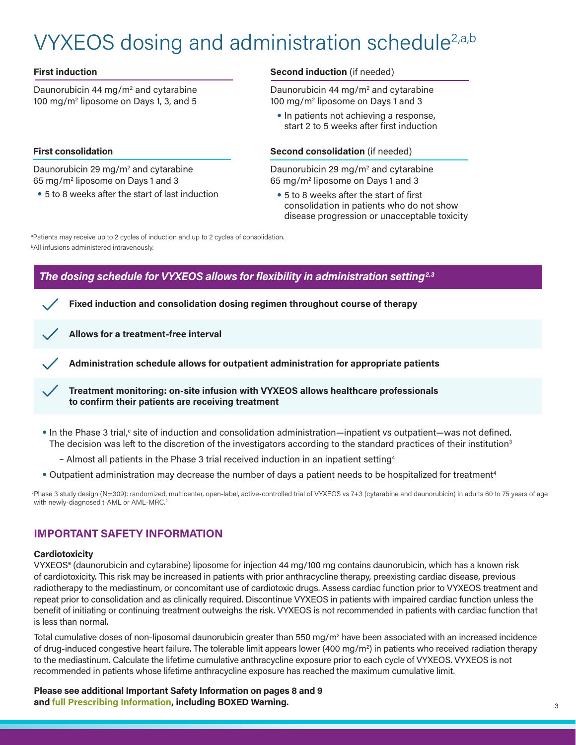# VYXEOS dosing and administration schedule<sup>2,a,b</sup>

#### **First induction**

Daunorubicin 44 mg/m<sup>2</sup> and cytarabine 100 mg/m2 liposome on Days 1, 3, and 5

#### **First consolidation**

Daunorubicin 29 mg/m<sup>2</sup> and cytarabine 65 mg/m2 liposome on Days 1 and 3

• 5 to 8 weeks after the start of last induction

#### **Second induction** (if needed)

Daunorubicin 44 mg/m<sup>2</sup> and cytarabine 100 mg/m2 liposome on Days 1 and 3

• In patients not achieving a response, start 2 to 5 weeks after first induction

#### **Second consolidation** (if needed)

Daunorubicin 29 mg/m<sup>2</sup> and cytarabine 65 mg/m2 liposome on Days 1 and 3

• 5 to 8 weeks after the start of first consolidation in patients who do not show disease progression or unacceptable toxicity

b All infusions administered intravenously. <sup>a</sup>Patients may receive up to 2 cycles of induction and up to 2 cycles of consolidation.

## *The dosing schedule for VYXEOS allows for flexibility in administration setting2,3*

**Fixed induction and consolidation dosing regimen throughout course of therapy**

**Allows for a treatment-free interval**

**Administration schedule allows for outpatient administration for appropriate patients**

**Treatment monitoring: on-site infusion with VYXEOS allows healthcare professionals to confirm their patients are receiving treatment**

- In the Phase 3 trial,<sup>c</sup> site of induction and consolidation administration—inpatient vs outpatient—was not defined. The decision was left to the discretion of the investigators according to the standard practices of their institution<sup>3</sup>
	- Almost all patients in the Phase 3 trial received induction in an inpatient setting4
- Outpatient administration may decrease the number of days a patient needs to be hospitalized for treatment<sup>4</sup>

c Phase 3 study design (N=309): randomized, multicenter, open-label, active-controlled trial of VYXEOS vs 7+3 (cytarabine and daunorubicin) in adults 60 to 75 years of age with newly-diagnosed t-AML or AML-MRC.<sup>2</sup>

#### **IMPORTANT SAFETY INFORMATION**

#### **Cardiotoxicity**

VYXEOS® (daunorubicin and cytarabine) liposome for injection 44 mg/100 mg contains daunorubicin, which has a known risk of cardiotoxicity. This risk may be increased in patients with prior anthracycline therapy, preexisting cardiac disease, previous radiotherapy to the mediastinum, or concomitant use of cardiotoxic drugs. Assess cardiac function prior to VYXEOS treatment and repeat prior to consolidation and as clinically required. Discontinue VYXEOS in patients with impaired cardiac function unless the benefit of initiating or continuing treatment outweighs the risk. VYXEOS is not recommended in patients with cardiac function that is less than normal.

Total cumulative doses of non-liposomal daunorubicin greater than 550 mg/m $^{\rm{2}}$  have been associated with an increased incidence of drug-induced congestive heart failure. The tolerable limit appears lower (400 mg/m²) in patients who received radiation therapy to the mediastinum. Calculate the lifetime cumulative anthracycline exposure prior to each cycle of VYXEOS. VYXEOS is not recommended in patients whose lifetime anthracycline exposure has reached the maximum cumulative limit.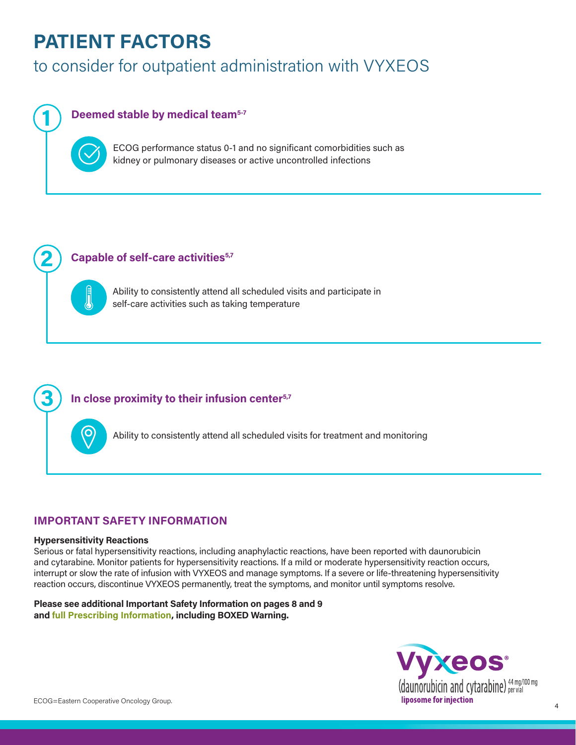## **PATIENT FACTORS**

## to consider for outpatient administration with VYXEOS

## **Deemed stable by medical team5-7**

ECOG performance status 0-1 and no significant comorbidities such as kidney or pulmonary diseases or active uncontrolled infections

#### **Capable of self-care activities<sup>5,7</sup>**

Ability to consistently attend all scheduled visits and participate in self-care activities such as taking temperature

### **In close proximity to their infusion center5,7**

Ability to consistently attend all scheduled visits for treatment and monitoring

#### **IMPORTANT SAFETY INFORMATION**

#### **Hypersensitivity Reactions**

**2**

**1**

**3**

Serious or fatal hypersensitivity reactions, including anaphylactic reactions, have been reported with daunorubicin and cytarabine. Monitor patients for hypersensitivity reactions. If a mild or moderate hypersensitivity reaction occurs, interrupt or slow the rate of infusion with VYXEOS and manage symptoms. If a severe or life-threatening hypersensitivity reaction occurs, discontinue VYXEOS permanently, treat the symptoms, and monitor until symptoms resolve.

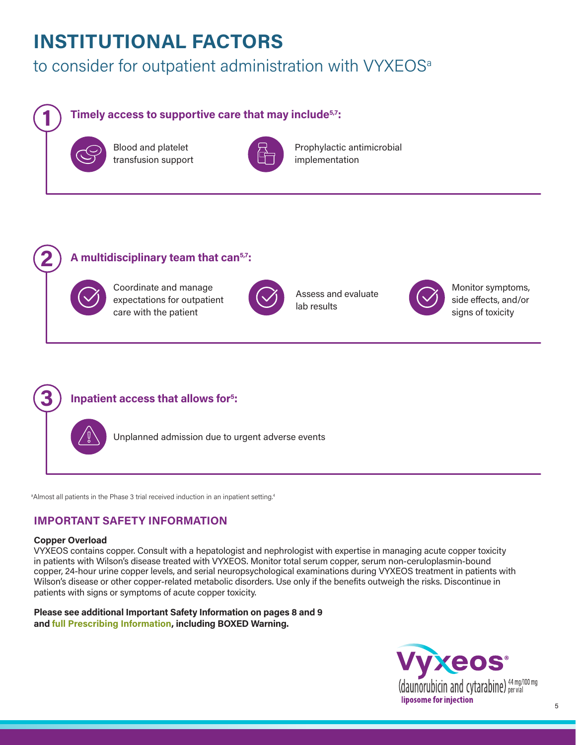## **INSTITUTIONAL FACTORS**

## to consider for outpatient administration with VYXEOS<sup>a</sup>

## **Timely access to supportive care that may include5,7:**



**1**

**2**

**3**

Blood and platelet transfusion support



Prophylactic antimicrobial implementation

## **A multidisciplinary team that can5,7:**



Coordinate and manage expectations for outpatient care with the patient



Assess and evaluate lab results



Monitor symptoms, side effects, and/or signs of toxicity



Unplanned admission due to urgent adverse events

 $^{\rm a}$ Almost all patients in the Phase 3 trial received induction in an inpatient setting. $^{\rm a}$ 

## **IMPORTANT SAFETY INFORMATION**

#### **Copper Overload**

VYXEOS contains copper. Consult with a hepatologist and nephrologist with expertise in managing acute copper toxicity in patients with Wilson's disease treated with VYXEOS. Monitor total serum copper, serum non-ceruloplasmin-bound copper, 24-hour urine copper levels, and serial neuropsychological examinations during VYXEOS treatment in patients with Wilson's disease or other copper-related metabolic disorders. Use only if the benefits outweigh the risks. Discontinue in patients with signs or symptoms of acute copper toxicity.

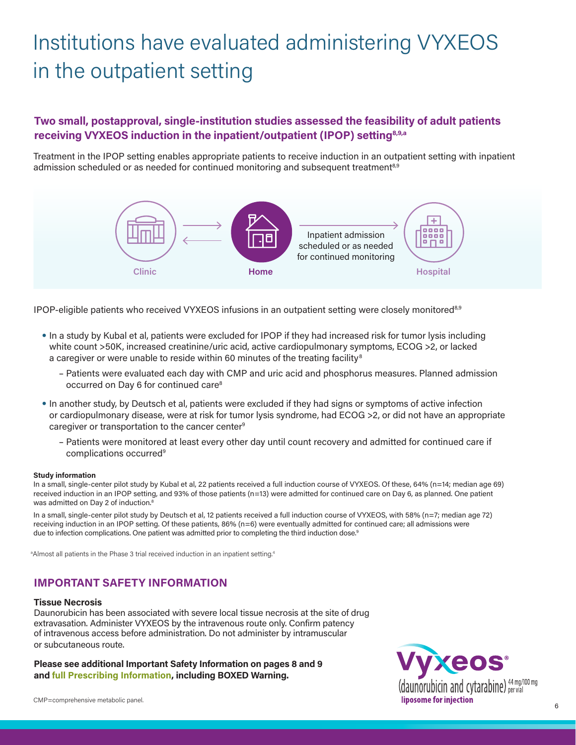# Institutions have evaluated administering VYXEOS in the outpatient setting

## **Two small, postapproval, single-institution studies assessed the feasibility of adult patients receiving VYXEOS induction in the inpatient/outpatient (IPOP) setting8,9,a**

Treatment in the IPOP setting enables appropriate patients to receive induction in an outpatient setting with inpatient admission scheduled or as needed for continued monitoring and subsequent treatment<sup>8,9</sup>



IPOP-eligible patients who received VYXEOS infusions in an outpatient setting were closely monitored8,9

- In a study by Kubal et al, patients were excluded for IPOP if they had increased risk for tumor lysis including white count >50K, increased creatinine/uric acid, active cardiopulmonary symptoms, ECOG >2, or lacked a caregiver or were unable to reside within 60 minutes of the treating facility<sup>8</sup>
	- Patients were evaluated each day with CMP and uric acid and phosphorus measures. Planned admission occurred on Day 6 for continued care8
- In another study, by Deutsch et al, patients were excluded if they had signs or symptoms of active infection or cardiopulmonary disease, were at risk for tumor lysis syndrome, had ECOG >2, or did not have an appropriate caregiver or transportation to the cancer center<sup>9</sup>
	- Patients were monitored at least every other day until count recovery and admitted for continued care if complications occurred<sup>9</sup>

#### **Study information**

In a small, single-center pilot study by Kubal et al, 22 patients received a full induction course of VYXEOS. Of these, 64% (n=14; median age 69) received induction in an IPOP setting, and 93% of those patients (n=13) were admitted for continued care on Day 6, as planned. One patient was admitted on Day 2 of induction.<sup>8</sup>

In a small, single-center pilot study by Deutsch et al, 12 patients received a full induction course of VYXEOS, with 58% (n=7; median age 72) receiving induction in an IPOP setting. Of these patients, 86% (n=6) were eventually admitted for continued care; all admissions were due to infection complications. One patient was admitted prior to completing the third induction dose.<sup>9</sup>

<sup>a</sup>Almost all patients in the Phase 3 trial received induction in an inpatient setting.<sup>4</sup>

#### **IMPORTANT SAFETY INFORMATION**

#### **Tissue Necrosis**

Daunorubicin has been associated with severe local tissue necrosis at the site of drug extravasation. Administer VYXEOS by the intravenous route only. Confirm patency of intravenous access before administration. Do not administer by intramuscular or subcutaneous route.

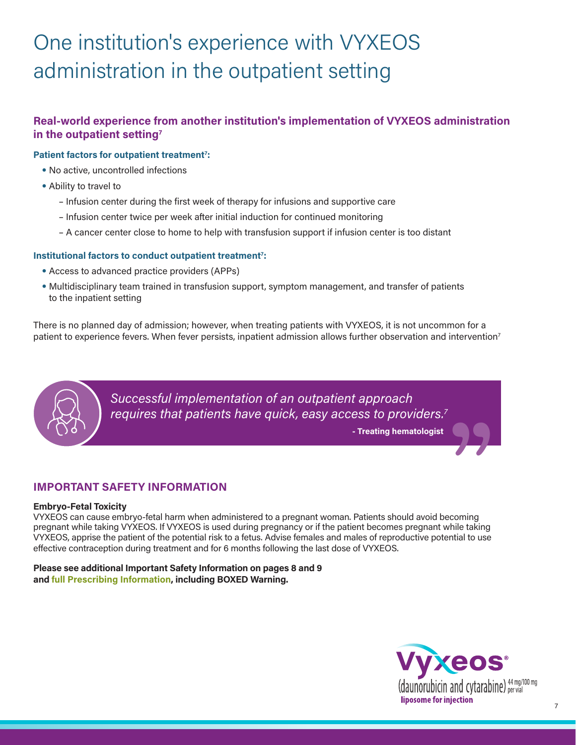# One institution's experience with VYXEOS administration in the outpatient setting

## **Real-world experience from another institution's implementation of VYXEOS administration in the outpatient setting7**

#### Patient factors for outpatient treatment<sup>7</sup>:

- No active, uncontrolled infections
- Ability to travel to
	- Infusion center during the first week of therapy for infusions and supportive care
	- Infusion center twice per week after initial induction for continued monitoring
	- A cancer center close to home to help with transfusion support if infusion center is too distant

#### Institutional factors to conduct outpatient treatment<sup>7</sup>:

- Access to advanced practice providers (APPs)
- Multidisciplinary team trained in transfusion support, symptom management, and transfer of patients to the inpatient setting

There is no planned day of admission; however, when treating patients with VYXEOS, it is not uncommon for a patient to experience fevers. When fever persists, inpatient admission allows further observation and intervention<sup>7</sup>



*Successful implementation of an outpatient approach requires that patients have quick, easy access to providers.7* **herefore the Sydney Strapproach Sydney Strapproach Sydney Straps (Separation Sydney Straps )** 

#### **IMPORTANT SAFETY INFORMATION**

#### **Embryo-Fetal Toxicity**

VYXEOS can cause embryo-fetal harm when administered to a pregnant woman. Patients should avoid becoming pregnant while taking VYXEOS. If VYXEOS is used during pregnancy or if the patient becomes pregnant while taking VYXEOS, apprise the patient of the potential risk to a fetus. Advise females and males of reproductive potential to use effective contraception during treatment and for 6 months following the last dose of VYXEOS.

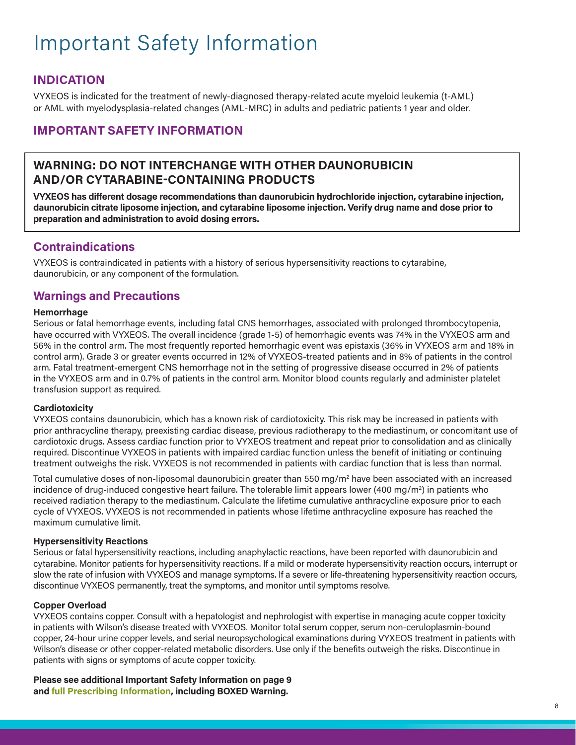# Important Safety Information

## **INDICATION**

VYXEOS is indicated for the treatment of newly-diagnosed therapy-related acute myeloid leukemia (t-AML) or AML with myelodysplasia-related changes (AML-MRC) in adults and pediatric patients 1 year and older.

## **IMPORTANT SAFETY INFORMATION**

## **WARNING: DO NOT INTERCHANGE WITH OTHER DAUNORUBICIN AND/OR CYTARABINE-CONTAINING PRODUCTS**

**VYXEOS has different dosage recommendations than daunorubicin hydrochloride injection, cytarabine injection, daunorubicin citrate liposome injection, and cytarabine liposome injection. Verify drug name and dose prior to preparation and administration to avoid dosing errors.**

## **Contraindications**

VYXEOS is contraindicated in patients with a history of serious hypersensitivity reactions to cytarabine, daunorubicin, or any component of the formulation.

## **Warnings and Precautions**

#### **Hemorrhage**

Serious or fatal hemorrhage events, including fatal CNS hemorrhages, associated with prolonged thrombocytopenia, have occurred with VYXEOS. The overall incidence (grade 1-5) of hemorrhagic events was 74% in the VYXEOS arm and 56% in the control arm. The most frequently reported hemorrhagic event was epistaxis (36% in VYXEOS arm and 18% in control arm). Grade 3 or greater events occurred in 12% of VYXEOS-treated patients and in 8% of patients in the control arm. Fatal treatment-emergent CNS hemorrhage not in the setting of progressive disease occurred in 2% of patients in the VYXEOS arm and in 0.7% of patients in the control arm. Monitor blood counts regularly and administer platelet transfusion support as required.

#### **Cardiotoxicity**

VYXEOS contains daunorubicin, which has a known risk of cardiotoxicity. This risk may be increased in patients with prior anthracycline therapy, preexisting cardiac disease, previous radiotherapy to the mediastinum, or concomitant use of cardiotoxic drugs. Assess cardiac function prior to VYXEOS treatment and repeat prior to consolidation and as clinically required. Discontinue VYXEOS in patients with impaired cardiac function unless the benefit of initiating or continuing treatment outweighs the risk. VYXEOS is not recommended in patients with cardiac function that is less than normal.

Total cumulative doses of non-liposomal daunorubicin greater than 550 mg/m² have been associated with an increased incidence of drug-induced congestive heart failure. The tolerable limit appears lower (400 mg/m2 ) in patients who received radiation therapy to the mediastinum. Calculate the lifetime cumulative anthracycline exposure prior to each cycle of VYXEOS. VYXEOS is not recommended in patients whose lifetime anthracycline exposure has reached the maximum cumulative limit.

#### **Hypersensitivity Reactions**

Serious or fatal hypersensitivity reactions, including anaphylactic reactions, have been reported with daunorubicin and cytarabine. Monitor patients for hypersensitivity reactions. If a mild or moderate hypersensitivity reaction occurs, interrupt or slow the rate of infusion with VYXEOS and manage symptoms. If a severe or life-threatening hypersensitivity reaction occurs, discontinue VYXEOS permanently, treat the symptoms, and monitor until symptoms resolve.

#### **Copper Overload**

VYXEOS contains copper. Consult with a hepatologist and nephrologist with expertise in managing acute copper toxicity in patients with Wilson's disease treated with VYXEOS. Monitor total serum copper, serum non-ceruloplasmin-bound copper, 24-hour urine copper levels, and serial neuropsychological examinations during VYXEOS treatment in patients with Wilson's disease or other copper-related metabolic disorders. Use only if the benefits outweigh the risks. Discontinue in patients with signs or symptoms of acute copper toxicity.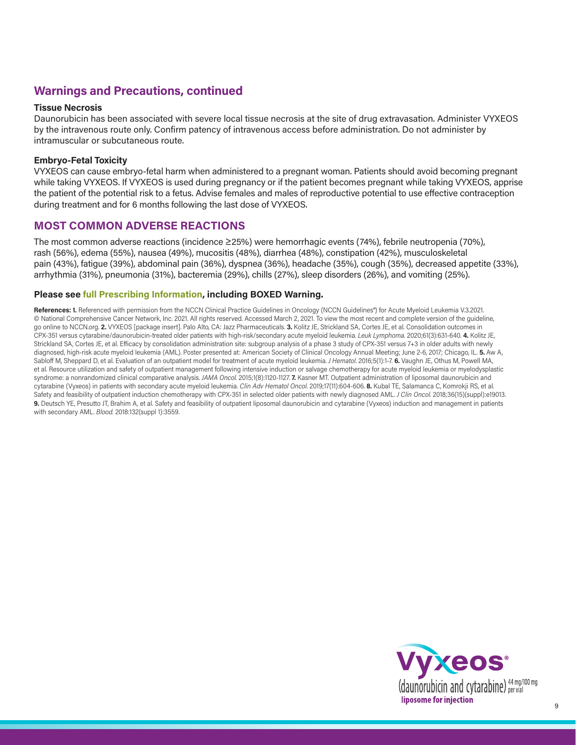## **Warnings and Precautions, continued**

#### **Tissue Necrosis**

Daunorubicin has been associated with severe local tissue necrosis at the site of drug extravasation. Administer VYXEOS by the intravenous route only. Confirm patency of intravenous access before administration. Do not administer by intramuscular or subcutaneous route.

#### **Embryo-Fetal Toxicity**

VYXEOS can cause embryo-fetal harm when administered to a pregnant woman. Patients should avoid becoming pregnant while taking VYXEOS. If VYXEOS is used during pregnancy or if the patient becomes pregnant while taking VYXEOS, apprise the patient of the potential risk to a fetus. Advise females and males of reproductive potential to use effective contraception during treatment and for 6 months following the last dose of VYXEOS.

#### **MOST COMMON ADVERSE REACTIONS**

The most common adverse reactions (incidence ≥25%) were hemorrhagic events (74%), febrile neutropenia (70%), rash (56%), edema (55%), nausea (49%), mucositis (48%), diarrhea (48%), constipation (42%), musculoskeletal pain (43%), fatigue (39%), abdominal pain (36%), dyspnea (36%), headache (35%), cough (35%), decreased appetite (33%), arrhythmia (31%), pneumonia (31%), bacteremia (29%), chills (27%), sleep disorders (26%), and vomiting (25%).

#### **Please see full Prescribing Information, including BOXED Warning.**

References: 1. Referenced with permission from the NCCN Clinical Practice Guidelines in Oncology (NCCN Guidelines®) for Acute Myeloid Leukemia V.3.2021. © National Comprehensive Cancer Network, Inc. 2021. All rights reserved. Accessed March 2, 2021. To view the most recent and complete version of the guideline, go online to NCCN.org. **2.** VYXEOS [package insert]. Palo Alto, CA: Jazz Pharmaceuticals. **3.** Kolitz JE, Strickland SA, Cortes JE, et al. Consolidation outcomes in CPX-351 versus cytarabine/daunorubicin-treated older patients with high-risk/secondary acute myeloid leukemia. *Leuk Lymphoma.* 2020;61(3):631-640. **4.** Kolitz JE, Strickland SA, Cortes JE, et al. Efficacy by consolidation administration site: subgroup analysis of a phase 3 study of CPX-351 versus 7+3 in older adults with newly diagnosed, high-risk acute myeloid leukemia (AML). Poster presented at: American Society of Clinical Oncology Annual Meeting; June 2-6, 2017; Chicago, IL. **5.** Aw A, Sabloff M, Sheppard D, et al. Evaluation of an outpatient model for treatment of acute myeloid leukemia. *J Hematol*. 2016;5(1):1-7. **6.** Vaughn JE, Othus M, Powell MA, et al. Resource utilization and safety of outpatient management following intensive induction or salvage chemotherapy for acute myeloid leukemia or myelodysplastic syndrome: a nonrandomized clinical comparative analysis. *JAMA Oncol.* 2015;1(8):1120-1127. **7.** Kasner MT. Outpatient administration of liposomal daunorubicin and cytarabine (Vyxeos) in patients with secondary acute myeloid leukemia. *Clin Adv Hematol Oncol.* 2019;17(11):604-606. **8.** Kubal TE, Salamanca C, Komrokji RS, et al. Safety and feasibility of outpatient induction chemotherapy with CPX-351 in selected older patients with newly diagnosed AML. *J Clin Oncol.* 2018;36(15)(suppl):e19013. **9.** Deutsch YE, Presutto JT, Brahim A, et al. Safety and feasibility of outpatient liposomal daunorubicin and cytarabine (Vyxeos) induction and management in patients with secondary AML. *Blood.* 2018:132(suppl 1):3559.